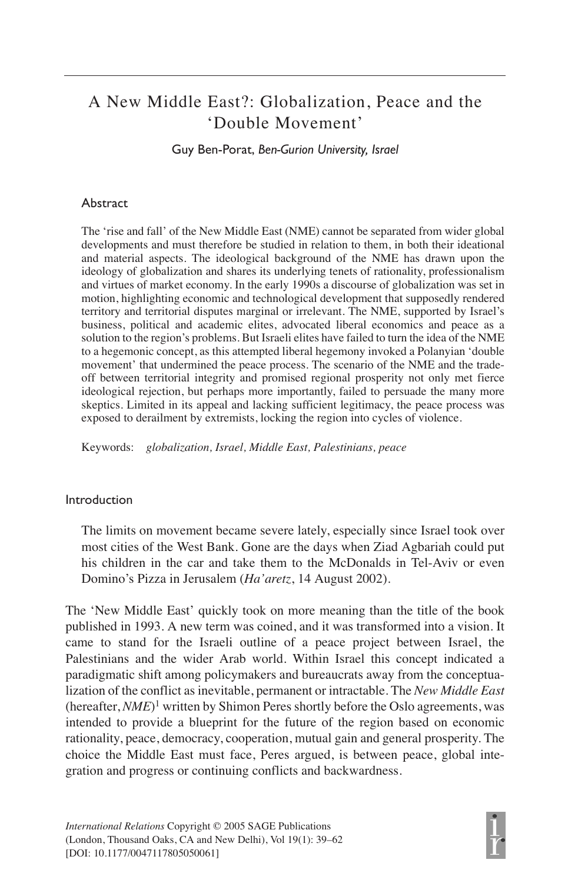# A New Middle East?: Globalization, Peace and the 'Double Movement'

Guy Ben-Porat, *Ben-Gurion University, Israel*

# Abstract

The 'rise and fall' of the New Middle East (NME) cannot be separated from wider global developments and must therefore be studied in relation to them, in both their ideational and material aspects. The ideological background of the NME has drawn upon the ideology of globalization and shares its underlying tenets of rationality, professionalism and virtues of market economy. In the early 1990s a discourse of globalization was set in motion, highlighting economic and technological development that supposedly rendered territory and territorial disputes marginal or irrelevant. The NME, supported by Israel's business, political and academic elites, advocated liberal economics and peace as a solution to the region's problems. But Israeli elites have failed to turn the idea of the NME to a hegemonic concept, as this attempted liberal hegemony invoked a Polanyian 'double movement' that undermined the peace process. The scenario of the NME and the tradeoff between territorial integrity and promised regional prosperity not only met fierce ideological rejection, but perhaps more importantly, failed to persuade the many more skeptics. Limited in its appeal and lacking sufficient legitimacy, the peace process was exposed to derailment by extremists, locking the region into cycles of violence.

Keywords: *globalization, Israel, Middle East, Palestinians, peace*

# Introduction

The limits on movement became severe lately, especially since Israel took over most cities of the West Bank. Gone are the days when Ziad Agbariah could put his children in the car and take them to the McDonalds in Tel-Aviv or even Domino's Pizza in Jerusalem (*Ha'aretz*, 14 August 2002).

The 'New Middle East' quickly took on more meaning than the title of the book published in 1993. A new term was coined, and it was transformed into a vision. It came to stand for the Israeli outline of a peace project between Israel, the Palestinians and the wider Arab world. Within Israel this concept indicated a paradigmatic shift among policymakers and bureaucrats away from the conceptualization of the conflict as inevitable, permanent or intractable. The *New Middle East* (hereafter,  $NME$ <sup>1</sup> written by Shimon Peres shortly before the Oslo agreements, was intended to provide a blueprint for the future of the region based on economic rationality, peace, democracy, cooperation, mutual gain and general prosperity. The choice the Middle East must face, Peres argued, is between peace, global integration and progress or continuing conflicts and backwardness.

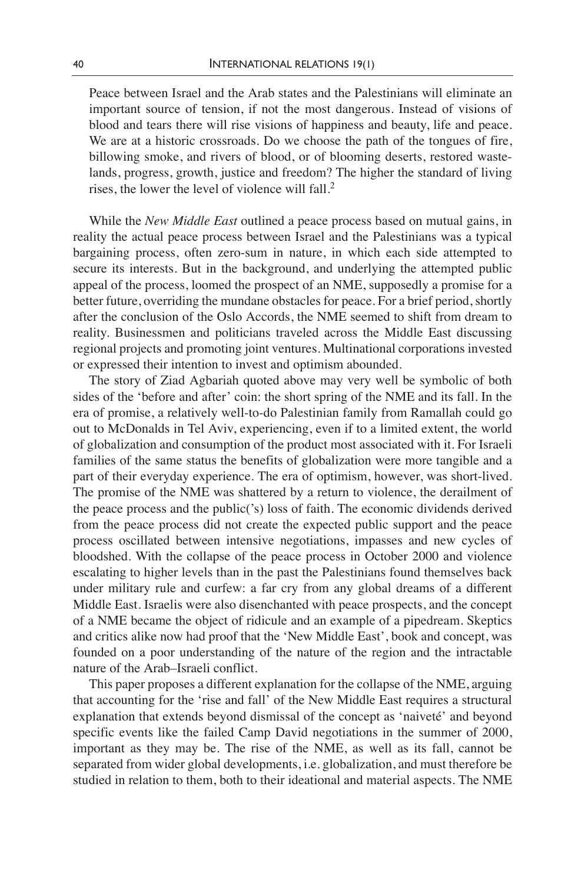Peace between Israel and the Arab states and the Palestinians will eliminate an important source of tension, if not the most dangerous. Instead of visions of blood and tears there will rise visions of happiness and beauty, life and peace. We are at a historic crossroads. Do we choose the path of the tongues of fire, billowing smoke, and rivers of blood, or of blooming deserts, restored wastelands, progress, growth, justice and freedom? The higher the standard of living rises, the lower the level of violence will fall.2

While the *New Middle East* outlined a peace process based on mutual gains, in reality the actual peace process between Israel and the Palestinians was a typical bargaining process, often zero-sum in nature, in which each side attempted to secure its interests. But in the background, and underlying the attempted public appeal of the process, loomed the prospect of an NME, supposedly a promise for a better future, overriding the mundane obstacles for peace. For a brief period, shortly after the conclusion of the Oslo Accords, the NME seemed to shift from dream to reality. Businessmen and politicians traveled across the Middle East discussing regional projects and promoting joint ventures. Multinational corporations invested or expressed their intention to invest and optimism abounded.

The story of Ziad Agbariah quoted above may very well be symbolic of both sides of the 'before and after' coin: the short spring of the NME and its fall. In the era of promise, a relatively well-to-do Palestinian family from Ramallah could go out to McDonalds in Tel Aviv, experiencing, even if to a limited extent, the world of globalization and consumption of the product most associated with it. For Israeli families of the same status the benefits of globalization were more tangible and a part of their everyday experience. The era of optimism, however, was short-lived. The promise of the NME was shattered by a return to violence, the derailment of the peace process and the public('s) loss of faith. The economic dividends derived from the peace process did not create the expected public support and the peace process oscillated between intensive negotiations, impasses and new cycles of bloodshed. With the collapse of the peace process in October 2000 and violence escalating to higher levels than in the past the Palestinians found themselves back under military rule and curfew: a far cry from any global dreams of a different Middle East. Israelis were also disenchanted with peace prospects, and the concept of a NME became the object of ridicule and an example of a pipedream. Skeptics and critics alike now had proof that the 'New Middle East', book and concept, was founded on a poor understanding of the nature of the region and the intractable nature of the Arab–Israeli conflict.

This paper proposes a different explanation for the collapse of the NME, arguing that accounting for the 'rise and fall' of the New Middle East requires a structural explanation that extends beyond dismissal of the concept as 'naiveté' and beyond specific events like the failed Camp David negotiations in the summer of 2000, important as they may be. The rise of the NME, as well as its fall, cannot be separated from wider global developments, i.e. globalization, and must therefore be studied in relation to them, both to their ideational and material aspects. The NME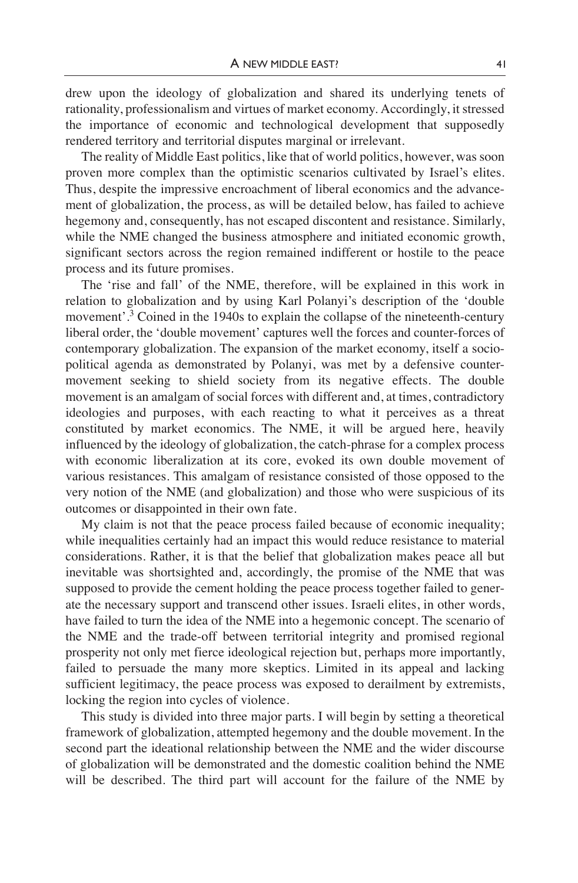drew upon the ideology of globalization and shared its underlying tenets of rationality, professionalism and virtues of market economy. Accordingly, it stressed the importance of economic and technological development that supposedly rendered territory and territorial disputes marginal or irrelevant.

The reality of Middle East politics, like that of world politics, however, was soon proven more complex than the optimistic scenarios cultivated by Israel's elites. Thus, despite the impressive encroachment of liberal economics and the advancement of globalization, the process, as will be detailed below, has failed to achieve hegemony and, consequently, has not escaped discontent and resistance. Similarly, while the NME changed the business atmosphere and initiated economic growth, significant sectors across the region remained indifferent or hostile to the peace process and its future promises.

The 'rise and fall' of the NME, therefore, will be explained in this work in relation to globalization and by using Karl Polanyi's description of the 'double movement'.3 Coined in the 1940s to explain the collapse of the nineteenth-century liberal order, the 'double movement' captures well the forces and counter-forces of contemporary globalization. The expansion of the market economy, itself a sociopolitical agenda as demonstrated by Polanyi, was met by a defensive countermovement seeking to shield society from its negative effects. The double movement is an amalgam of social forces with different and, at times, contradictory ideologies and purposes, with each reacting to what it perceives as a threat constituted by market economics. The NME, it will be argued here, heavily influenced by the ideology of globalization, the catch-phrase for a complex process with economic liberalization at its core, evoked its own double movement of various resistances. This amalgam of resistance consisted of those opposed to the very notion of the NME (and globalization) and those who were suspicious of its outcomes or disappointed in their own fate.

My claim is not that the peace process failed because of economic inequality; while inequalities certainly had an impact this would reduce resistance to material considerations. Rather, it is that the belief that globalization makes peace all but inevitable was shortsighted and, accordingly, the promise of the NME that was supposed to provide the cement holding the peace process together failed to generate the necessary support and transcend other issues. Israeli elites, in other words, have failed to turn the idea of the NME into a hegemonic concept. The scenario of the NME and the trade-off between territorial integrity and promised regional prosperity not only met fierce ideological rejection but, perhaps more importantly, failed to persuade the many more skeptics. Limited in its appeal and lacking sufficient legitimacy, the peace process was exposed to derailment by extremists, locking the region into cycles of violence.

This study is divided into three major parts. I will begin by setting a theoretical framework of globalization, attempted hegemony and the double movement. In the second part the ideational relationship between the NME and the wider discourse of globalization will be demonstrated and the domestic coalition behind the NME will be described. The third part will account for the failure of the NME by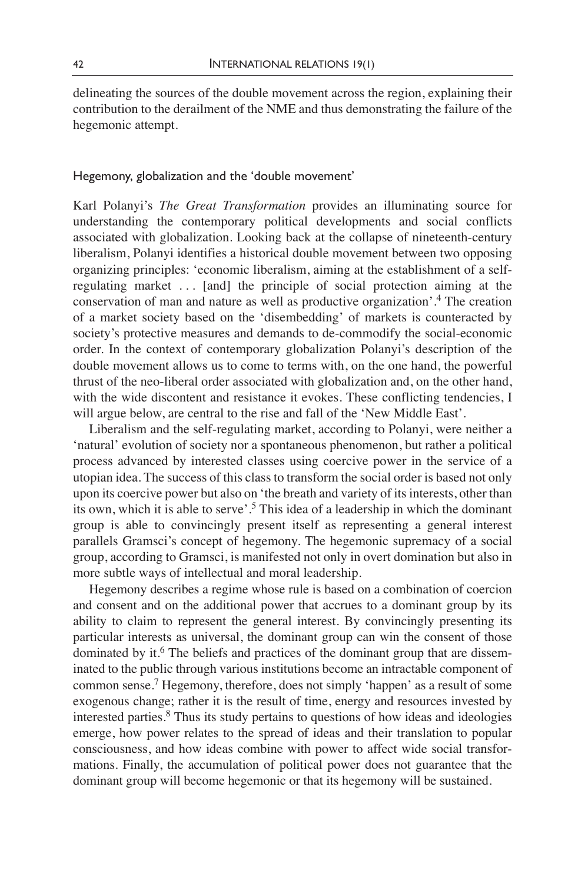delineating the sources of the double movement across the region, explaining their contribution to the derailment of the NME and thus demonstrating the failure of the hegemonic attempt.

#### Hegemony, globalization and the 'double movement'

Karl Polanyi's *The Great Transformation* provides an illuminating source for understanding the contemporary political developments and social conflicts associated with globalization. Looking back at the collapse of nineteenth-century liberalism, Polanyi identifies a historical double movement between two opposing organizing principles: 'economic liberalism, aiming at the establishment of a selfregulating market . . . [and] the principle of social protection aiming at the conservation of man and nature as well as productive organization'.4 The creation of a market society based on the 'disembedding' of markets is counteracted by society's protective measures and demands to de-commodify the social-economic order. In the context of contemporary globalization Polanyi's description of the double movement allows us to come to terms with, on the one hand, the powerful thrust of the neo-liberal order associated with globalization and, on the other hand, with the wide discontent and resistance it evokes. These conflicting tendencies, I will argue below, are central to the rise and fall of the 'New Middle East'.

Liberalism and the self-regulating market, according to Polanyi, were neither a 'natural' evolution of society nor a spontaneous phenomenon, but rather a political process advanced by interested classes using coercive power in the service of a utopian idea. The success of this class to transform the social order is based not only upon its coercive power but also on 'the breath and variety of its interests, other than its own, which it is able to serve'.5 This idea of a leadership in which the dominant group is able to convincingly present itself as representing a general interest parallels Gramsci's concept of hegemony. The hegemonic supremacy of a social group, according to Gramsci, is manifested not only in overt domination but also in more subtle ways of intellectual and moral leadership.

Hegemony describes a regime whose rule is based on a combination of coercion and consent and on the additional power that accrues to a dominant group by its ability to claim to represent the general interest. By convincingly presenting its particular interests as universal, the dominant group can win the consent of those dominated by it.<sup>6</sup> The beliefs and practices of the dominant group that are disseminated to the public through various institutions become an intractable component of common sense.7 Hegemony, therefore, does not simply 'happen' as a result of some exogenous change; rather it is the result of time, energy and resources invested by interested parties.8 Thus its study pertains to questions of how ideas and ideologies emerge, how power relates to the spread of ideas and their translation to popular consciousness, and how ideas combine with power to affect wide social transformations. Finally, the accumulation of political power does not guarantee that the dominant group will become hegemonic or that its hegemony will be sustained.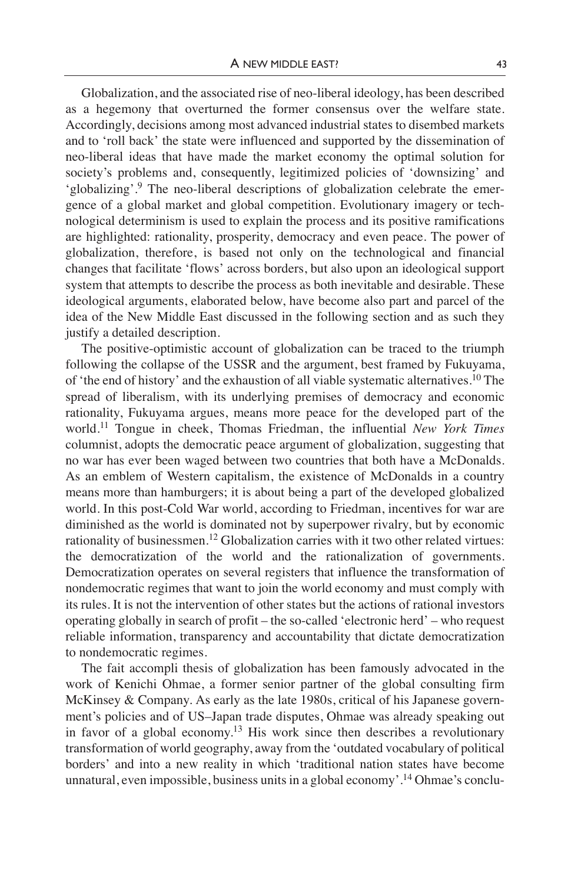Globalization, and the associated rise of neo-liberal ideology, has been described as a hegemony that overturned the former consensus over the welfare state. Accordingly, decisions among most advanced industrial states to disembed markets and to 'roll back' the state were influenced and supported by the dissemination of neo-liberal ideas that have made the market economy the optimal solution for society's problems and, consequently, legitimized policies of 'downsizing' and 'globalizing'.9 The neo-liberal descriptions of globalization celebrate the emergence of a global market and global competition. Evolutionary imagery or technological determinism is used to explain the process and its positive ramifications are highlighted: rationality, prosperity, democracy and even peace. The power of globalization, therefore, is based not only on the technological and financial changes that facilitate 'flows' across borders, but also upon an ideological support system that attempts to describe the process as both inevitable and desirable. These ideological arguments, elaborated below, have become also part and parcel of the idea of the New Middle East discussed in the following section and as such they justify a detailed description.

The positive-optimistic account of globalization can be traced to the triumph following the collapse of the USSR and the argument, best framed by Fukuyama, of 'the end of history' and the exhaustion of all viable systematic alternatives.<sup>10</sup> The spread of liberalism, with its underlying premises of democracy and economic rationality, Fukuyama argues, means more peace for the developed part of the world.11 Tongue in cheek, Thomas Friedman, the influential *New York Times* columnist, adopts the democratic peace argument of globalization, suggesting that no war has ever been waged between two countries that both have a McDonalds. As an emblem of Western capitalism, the existence of McDonalds in a country means more than hamburgers; it is about being a part of the developed globalized world. In this post-Cold War world, according to Friedman, incentives for war are diminished as the world is dominated not by superpower rivalry, but by economic rationality of businessmen.<sup>12</sup> Globalization carries with it two other related virtues: the democratization of the world and the rationalization of governments. Democratization operates on several registers that influence the transformation of nondemocratic regimes that want to join the world economy and must comply with its rules. It is not the intervention of other states but the actions of rational investors operating globally in search of profit – the so-called 'electronic herd' – who request reliable information, transparency and accountability that dictate democratization to nondemocratic regimes.

The fait accompli thesis of globalization has been famously advocated in the work of Kenichi Ohmae, a former senior partner of the global consulting firm McKinsey & Company. As early as the late 1980s, critical of his Japanese government's policies and of US–Japan trade disputes, Ohmae was already speaking out in favor of a global economy.13 His work since then describes a revolutionary transformation of world geography, away from the 'outdated vocabulary of political borders' and into a new reality in which 'traditional nation states have become unnatural, even impossible, business units in a global economy'.<sup>14</sup> Ohmae's conclu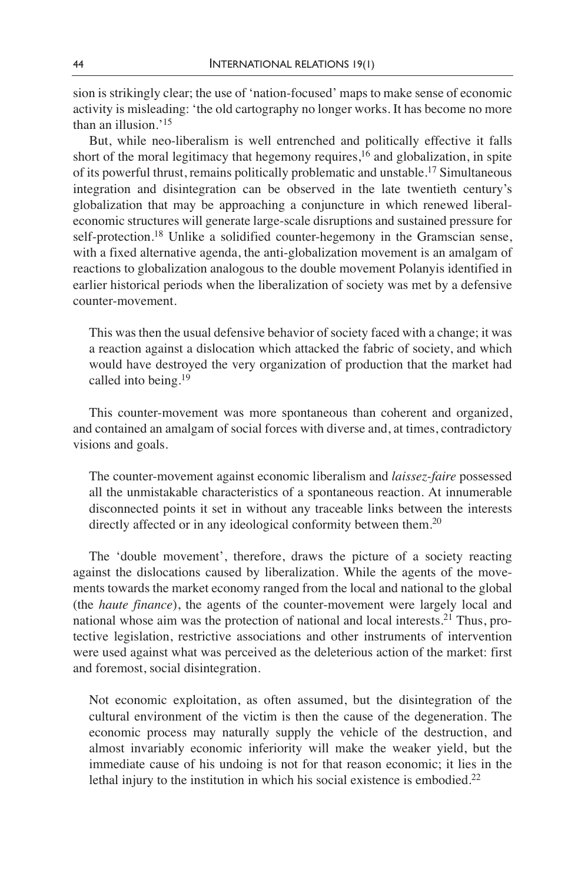sion is strikingly clear; the use of 'nation-focused' maps to make sense of economic activity is misleading: 'the old cartography no longer works. It has become no more than an illusion<sup>'15</sup>

But, while neo-liberalism is well entrenched and politically effective it falls short of the moral legitimacy that hegemony requires, $16$  and globalization, in spite of its powerful thrust, remains politically problematic and unstable.17 Simultaneous integration and disintegration can be observed in the late twentieth century's globalization that may be approaching a conjuncture in which renewed liberaleconomic structures will generate large-scale disruptions and sustained pressure for self-protection.<sup>18</sup> Unlike a solidified counter-hegemony in the Gramscian sense, with a fixed alternative agenda, the anti-globalization movement is an amalgam of reactions to globalization analogous to the double movement Polanyis identified in earlier historical periods when the liberalization of society was met by a defensive counter-movement.

This was then the usual defensive behavior of society faced with a change; it was a reaction against a dislocation which attacked the fabric of society, and which would have destroyed the very organization of production that the market had called into being.19

This counter-movement was more spontaneous than coherent and organized, and contained an amalgam of social forces with diverse and, at times, contradictory visions and goals.

The counter-movement against economic liberalism and *laissez-faire* possessed all the unmistakable characteristics of a spontaneous reaction. At innumerable disconnected points it set in without any traceable links between the interests directly affected or in any ideological conformity between them.<sup>20</sup>

The 'double movement', therefore, draws the picture of a society reacting against the dislocations caused by liberalization. While the agents of the movements towards the market economy ranged from the local and national to the global (the *haute finance*), the agents of the counter-movement were largely local and national whose aim was the protection of national and local interests.21 Thus, protective legislation, restrictive associations and other instruments of intervention were used against what was perceived as the deleterious action of the market: first and foremost, social disintegration.

Not economic exploitation, as often assumed, but the disintegration of the cultural environment of the victim is then the cause of the degeneration. The economic process may naturally supply the vehicle of the destruction, and almost invariably economic inferiority will make the weaker yield, but the immediate cause of his undoing is not for that reason economic; it lies in the lethal injury to the institution in which his social existence is embodied.<sup>22</sup>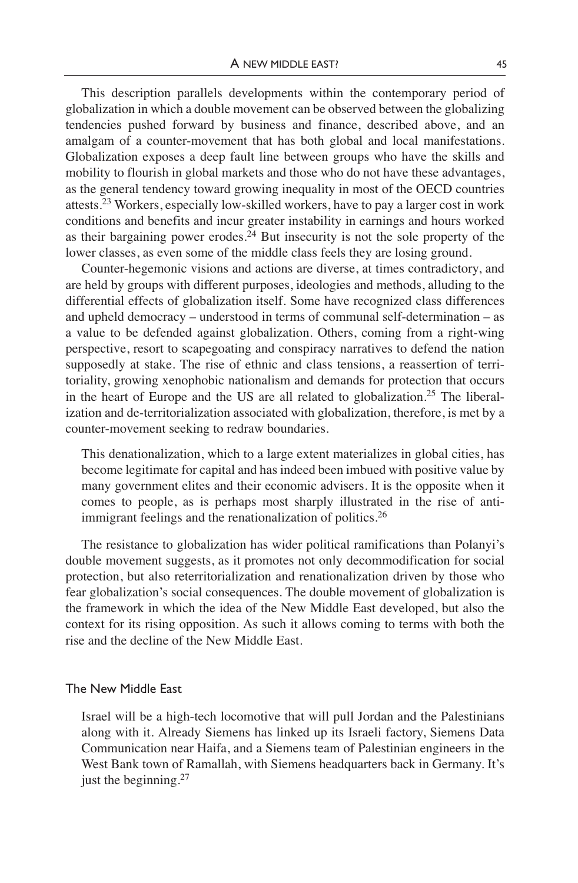This description parallels developments within the contemporary period of globalization in which a double movement can be observed between the globalizing tendencies pushed forward by business and finance, described above, and an amalgam of a counter-movement that has both global and local manifestations. Globalization exposes a deep fault line between groups who have the skills and mobility to flourish in global markets and those who do not have these advantages, as the general tendency toward growing inequality in most of the OECD countries attests.<sup>23</sup> Workers, especially low-skilled workers, have to pay a larger cost in work conditions and benefits and incur greater instability in earnings and hours worked as their bargaining power erodes.<sup>24</sup> But insecurity is not the sole property of the lower classes, as even some of the middle class feels they are losing ground.

Counter-hegemonic visions and actions are diverse, at times contradictory, and are held by groups with different purposes, ideologies and methods, alluding to the differential effects of globalization itself. Some have recognized class differences and upheld democracy – understood in terms of communal self-determination – as a value to be defended against globalization. Others, coming from a right-wing perspective, resort to scapegoating and conspiracy narratives to defend the nation supposedly at stake. The rise of ethnic and class tensions, a reassertion of territoriality, growing xenophobic nationalism and demands for protection that occurs in the heart of Europe and the US are all related to globalization.<sup>25</sup> The liberalization and de-territorialization associated with globalization, therefore, is met by a counter-movement seeking to redraw boundaries.

This denationalization, which to a large extent materializes in global cities, has become legitimate for capital and has indeed been imbued with positive value by many government elites and their economic advisers. It is the opposite when it comes to people, as is perhaps most sharply illustrated in the rise of antiimmigrant feelings and the renationalization of politics.<sup>26</sup>

The resistance to globalization has wider political ramifications than Polanyi's double movement suggests, as it promotes not only decommodification for social protection, but also reterritorialization and renationalization driven by those who fear globalization's social consequences. The double movement of globalization is the framework in which the idea of the New Middle East developed, but also the context for its rising opposition. As such it allows coming to terms with both the rise and the decline of the New Middle East.

## The New Middle East

Israel will be a high-tech locomotive that will pull Jordan and the Palestinians along with it. Already Siemens has linked up its Israeli factory, Siemens Data Communication near Haifa, and a Siemens team of Palestinian engineers in the West Bank town of Ramallah, with Siemens headquarters back in Germany. It's just the beginning. $27$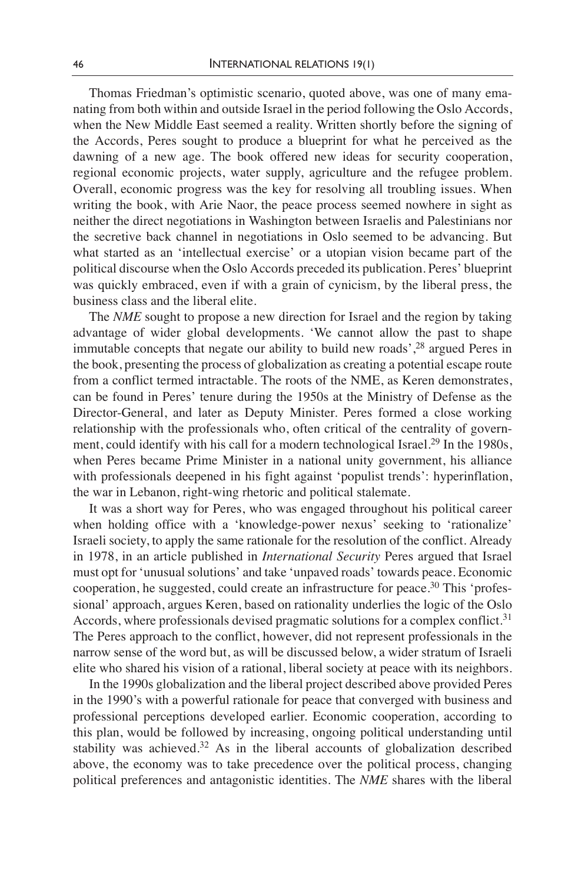Thomas Friedman's optimistic scenario, quoted above, was one of many emanating from both within and outside Israel in the period following the Oslo Accords, when the New Middle East seemed a reality. Written shortly before the signing of the Accords, Peres sought to produce a blueprint for what he perceived as the dawning of a new age. The book offered new ideas for security cooperation, regional economic projects, water supply, agriculture and the refugee problem. Overall, economic progress was the key for resolving all troubling issues. When writing the book, with Arie Naor, the peace process seemed nowhere in sight as neither the direct negotiations in Washington between Israelis and Palestinians nor the secretive back channel in negotiations in Oslo seemed to be advancing. But what started as an 'intellectual exercise' or a utopian vision became part of the political discourse when the Oslo Accords preceded its publication. Peres' blueprint was quickly embraced, even if with a grain of cynicism, by the liberal press, the business class and the liberal elite.

The *NME* sought to propose a new direction for Israel and the region by taking advantage of wider global developments. 'We cannot allow the past to shape immutable concepts that negate our ability to build new roads',<sup>28</sup> argued Peres in the book, presenting the process of globalization as creating a potential escape route from a conflict termed intractable. The roots of the NME, as Keren demonstrates, can be found in Peres' tenure during the 1950s at the Ministry of Defense as the Director-General, and later as Deputy Minister. Peres formed a close working relationship with the professionals who, often critical of the centrality of government, could identify with his call for a modern technological Israel.<sup>29</sup> In the 1980s, when Peres became Prime Minister in a national unity government, his alliance with professionals deepened in his fight against 'populist trends': hyperinflation, the war in Lebanon, right-wing rhetoric and political stalemate.

It was a short way for Peres, who was engaged throughout his political career when holding office with a 'knowledge-power nexus' seeking to 'rationalize' Israeli society, to apply the same rationale for the resolution of the conflict. Already in 1978, in an article published in *International Security* Peres argued that Israel must opt for 'unusual solutions' and take 'unpaved roads' towards peace. Economic cooperation, he suggested, could create an infrastructure for peace.30 This 'professional' approach, argues Keren, based on rationality underlies the logic of the Oslo Accords, where professionals devised pragmatic solutions for a complex conflict.<sup>31</sup> The Peres approach to the conflict, however, did not represent professionals in the narrow sense of the word but, as will be discussed below, a wider stratum of Israeli elite who shared his vision of a rational, liberal society at peace with its neighbors.

In the 1990s globalization and the liberal project described above provided Peres in the 1990's with a powerful rationale for peace that converged with business and professional perceptions developed earlier. Economic cooperation, according to this plan, would be followed by increasing, ongoing political understanding until stability was achieved. $32$  As in the liberal accounts of globalization described above, the economy was to take precedence over the political process, changing political preferences and antagonistic identities. The *NME* shares with the liberal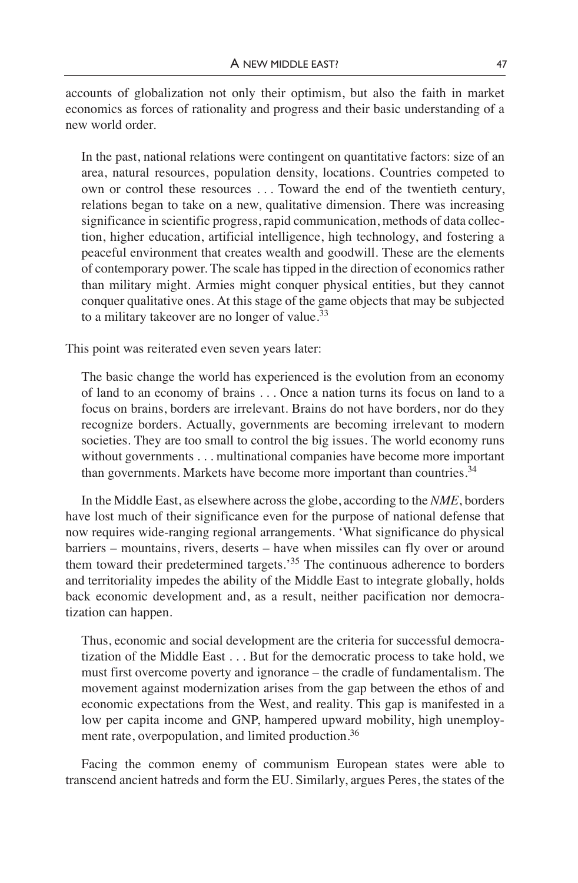accounts of globalization not only their optimism, but also the faith in market economics as forces of rationality and progress and their basic understanding of a new world order.

In the past, national relations were contingent on quantitative factors: size of an area, natural resources, population density, locations. Countries competed to own or control these resources . . . Toward the end of the twentieth century, relations began to take on a new, qualitative dimension. There was increasing significance in scientific progress, rapid communication, methods of data collection, higher education, artificial intelligence, high technology, and fostering a peaceful environment that creates wealth and goodwill. These are the elements of contemporary power. The scale has tipped in the direction of economics rather than military might. Armies might conquer physical entities, but they cannot conquer qualitative ones. At this stage of the game objects that may be subjected to a military takeover are no longer of value. $33$ 

This point was reiterated even seven years later:

The basic change the world has experienced is the evolution from an economy of land to an economy of brains . . . Once a nation turns its focus on land to a focus on brains, borders are irrelevant. Brains do not have borders, nor do they recognize borders. Actually, governments are becoming irrelevant to modern societies. They are too small to control the big issues. The world economy runs without governments . . . multinational companies have become more important than governments. Markets have become more important than countries.<sup>34</sup>

In the Middle East, as elsewhere across the globe, according to the *NME*, borders have lost much of their significance even for the purpose of national defense that now requires wide-ranging regional arrangements. 'What significance do physical barriers – mountains, rivers, deserts – have when missiles can fly over or around them toward their predetermined targets.'35 The continuous adherence to borders and territoriality impedes the ability of the Middle East to integrate globally, holds back economic development and, as a result, neither pacification nor democratization can happen.

Thus, economic and social development are the criteria for successful democratization of the Middle East . . . But for the democratic process to take hold, we must first overcome poverty and ignorance – the cradle of fundamentalism. The movement against modernization arises from the gap between the ethos of and economic expectations from the West, and reality. This gap is manifested in a low per capita income and GNP, hampered upward mobility, high unemployment rate, overpopulation, and limited production.<sup>36</sup>

Facing the common enemy of communism European states were able to transcend ancient hatreds and form the EU. Similarly, argues Peres, the states of the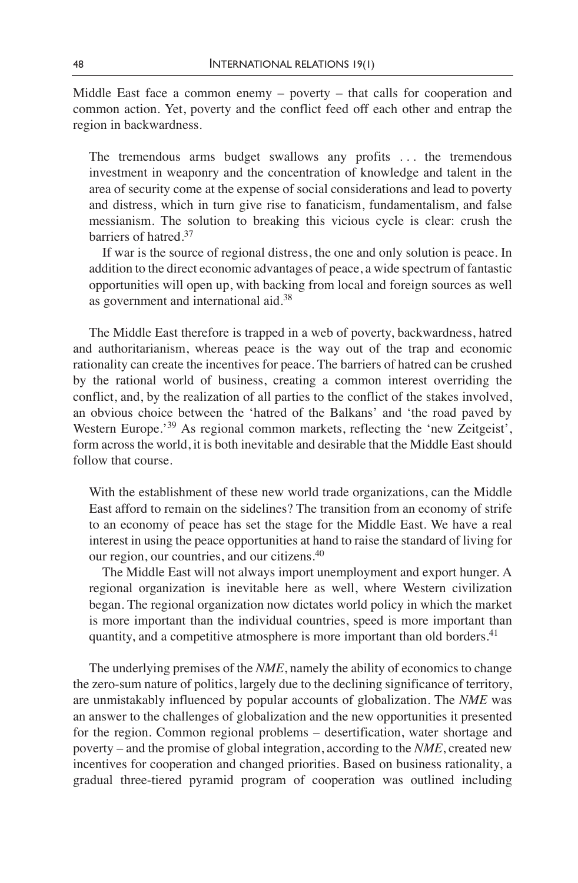Middle East face a common enemy – poverty – that calls for cooperation and common action. Yet, poverty and the conflict feed off each other and entrap the region in backwardness.

The tremendous arms budget swallows any profits ... the tremendous investment in weaponry and the concentration of knowledge and talent in the area of security come at the expense of social considerations and lead to poverty and distress, which in turn give rise to fanaticism, fundamentalism, and false messianism. The solution to breaking this vicious cycle is clear: crush the barriers of hatred<sup>37</sup>

If war is the source of regional distress, the one and only solution is peace. In addition to the direct economic advantages of peace, a wide spectrum of fantastic opportunities will open up, with backing from local and foreign sources as well as government and international aid.38

The Middle East therefore is trapped in a web of poverty, backwardness, hatred and authoritarianism, whereas peace is the way out of the trap and economic rationality can create the incentives for peace. The barriers of hatred can be crushed by the rational world of business, creating a common interest overriding the conflict, and, by the realization of all parties to the conflict of the stakes involved, an obvious choice between the 'hatred of the Balkans' and 'the road paved by Western Europe.'<sup>39</sup> As regional common markets, reflecting the 'new Zeitgeist', form across the world, it is both inevitable and desirable that the Middle East should follow that course.

With the establishment of these new world trade organizations, can the Middle East afford to remain on the sidelines? The transition from an economy of strife to an economy of peace has set the stage for the Middle East. We have a real interest in using the peace opportunities at hand to raise the standard of living for our region, our countries, and our citizens.40

The Middle East will not always import unemployment and export hunger. A regional organization is inevitable here as well, where Western civilization began. The regional organization now dictates world policy in which the market is more important than the individual countries, speed is more important than quantity, and a competitive atmosphere is more important than old borders.<sup>41</sup>

The underlying premises of the *NME*, namely the ability of economics to change the zero-sum nature of politics, largely due to the declining significance of territory, are unmistakably influenced by popular accounts of globalization. The *NME* was an answer to the challenges of globalization and the new opportunities it presented for the region. Common regional problems – desertification, water shortage and poverty – and the promise of global integration, according to the *NME*, created new incentives for cooperation and changed priorities. Based on business rationality, a gradual three-tiered pyramid program of cooperation was outlined including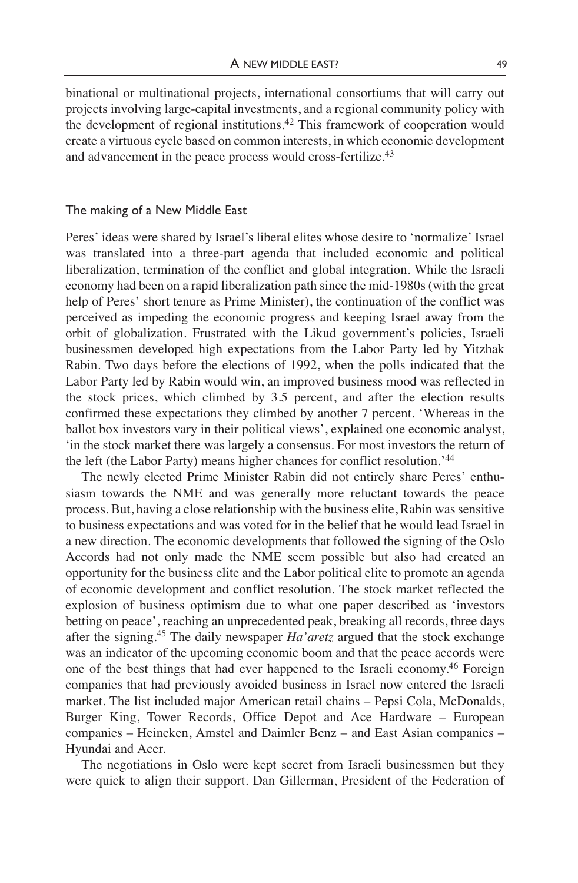binational or multinational projects, international consortiums that will carry out projects involving large-capital investments, and a regional community policy with the development of regional institutions.<sup>42</sup> This framework of cooperation would create a virtuous cycle based on common interests, in which economic development and advancement in the peace process would cross-fertilize.<sup>43</sup>

## The making of a New Middle East

Peres' ideas were shared by Israel's liberal elites whose desire to 'normalize' Israel was translated into a three-part agenda that included economic and political liberalization, termination of the conflict and global integration. While the Israeli economy had been on a rapid liberalization path since the mid-1980s (with the great help of Peres' short tenure as Prime Minister), the continuation of the conflict was perceived as impeding the economic progress and keeping Israel away from the orbit of globalization. Frustrated with the Likud government's policies, Israeli businessmen developed high expectations from the Labor Party led by Yitzhak Rabin. Two days before the elections of 1992, when the polls indicated that the Labor Party led by Rabin would win, an improved business mood was reflected in the stock prices, which climbed by 3.5 percent, and after the election results confirmed these expectations they climbed by another 7 percent. 'Whereas in the ballot box investors vary in their political views', explained one economic analyst, 'in the stock market there was largely a consensus. For most investors the return of the left (the Labor Party) means higher chances for conflict resolution.'44

The newly elected Prime Minister Rabin did not entirely share Peres' enthusiasm towards the NME and was generally more reluctant towards the peace process. But, having a close relationship with the business elite, Rabin was sensitive to business expectations and was voted for in the belief that he would lead Israel in a new direction. The economic developments that followed the signing of the Oslo Accords had not only made the NME seem possible but also had created an opportunity for the business elite and the Labor political elite to promote an agenda of economic development and conflict resolution. The stock market reflected the explosion of business optimism due to what one paper described as 'investors betting on peace', reaching an unprecedented peak, breaking all records, three days after the signing.45 The daily newspaper *Ha'aretz* argued that the stock exchange was an indicator of the upcoming economic boom and that the peace accords were one of the best things that had ever happened to the Israeli economy.46 Foreign companies that had previously avoided business in Israel now entered the Israeli market. The list included major American retail chains – Pepsi Cola, McDonalds, Burger King, Tower Records, Office Depot and Ace Hardware – European companies – Heineken, Amstel and Daimler Benz – and East Asian companies – Hyundai and Acer.

The negotiations in Oslo were kept secret from Israeli businessmen but they were quick to align their support. Dan Gillerman, President of the Federation of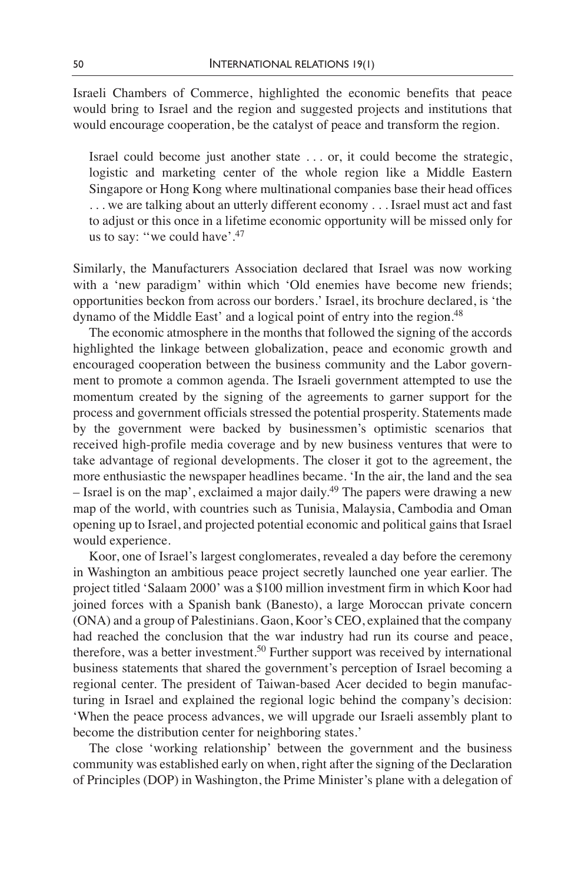Israeli Chambers of Commerce, highlighted the economic benefits that peace would bring to Israel and the region and suggested projects and institutions that would encourage cooperation, be the catalyst of peace and transform the region.

Israel could become just another state . . . or, it could become the strategic, logistic and marketing center of the whole region like a Middle Eastern Singapore or Hong Kong where multinational companies base their head offices . . . we are talking about an utterly different economy . . . Israel must act and fast to adjust or this once in a lifetime economic opportunity will be missed only for us to say: ''we could have'.47

Similarly, the Manufacturers Association declared that Israel was now working with a 'new paradigm' within which 'Old enemies have become new friends; opportunities beckon from across our borders.' Israel, its brochure declared, is 'the dynamo of the Middle East' and a logical point of entry into the region.<sup>48</sup>

The economic atmosphere in the months that followed the signing of the accords highlighted the linkage between globalization, peace and economic growth and encouraged cooperation between the business community and the Labor government to promote a common agenda. The Israeli government attempted to use the momentum created by the signing of the agreements to garner support for the process and government officials stressed the potential prosperity. Statements made by the government were backed by businessmen's optimistic scenarios that received high-profile media coverage and by new business ventures that were to take advantage of regional developments. The closer it got to the agreement, the more enthusiastic the newspaper headlines became. 'In the air, the land and the sea  $-$  Israel is on the map', exclaimed a major daily.<sup>49</sup> The papers were drawing a new map of the world, with countries such as Tunisia, Malaysia, Cambodia and Oman opening up to Israel, and projected potential economic and political gains that Israel would experience.

Koor, one of Israel's largest conglomerates, revealed a day before the ceremony in Washington an ambitious peace project secretly launched one year earlier. The project titled 'Salaam 2000' was a \$100 million investment firm in which Koor had joined forces with a Spanish bank (Banesto), a large Moroccan private concern (ONA) and a group of Palestinians. Gaon, Koor's CEO, explained that the company had reached the conclusion that the war industry had run its course and peace, therefore, was a better investment.<sup>50</sup> Further support was received by international business statements that shared the government's perception of Israel becoming a regional center. The president of Taiwan-based Acer decided to begin manufacturing in Israel and explained the regional logic behind the company's decision: 'When the peace process advances, we will upgrade our Israeli assembly plant to become the distribution center for neighboring states.'

The close 'working relationship' between the government and the business community was established early on when, right after the signing of the Declaration of Principles (DOP) in Washington, the Prime Minister's plane with a delegation of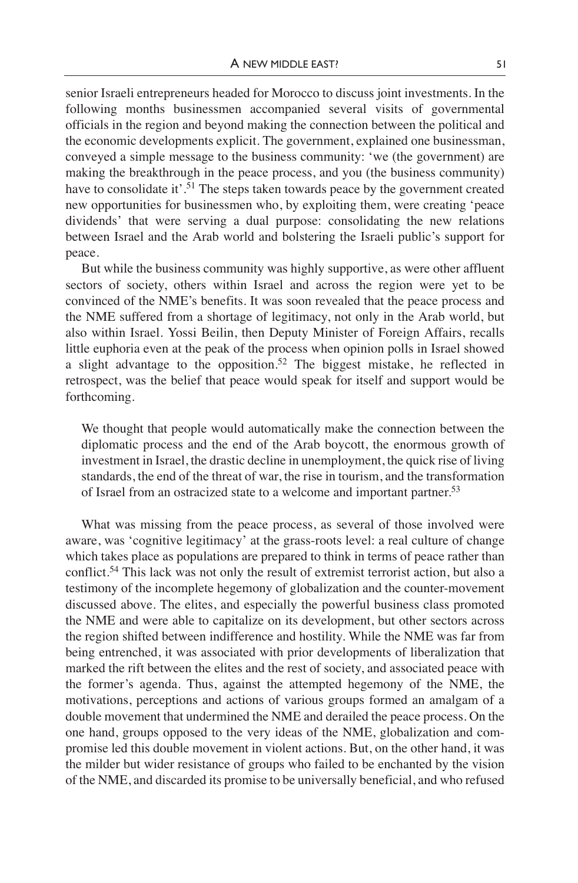senior Israeli entrepreneurs headed for Morocco to discuss joint investments. In the following months businessmen accompanied several visits of governmental officials in the region and beyond making the connection between the political and the economic developments explicit. The government, explained one businessman, conveyed a simple message to the business community: 'we (the government) are making the breakthrough in the peace process, and you (the business community) have to consolidate it'.<sup>51</sup> The steps taken towards peace by the government created new opportunities for businessmen who, by exploiting them, were creating 'peace dividends' that were serving a dual purpose: consolidating the new relations between Israel and the Arab world and bolstering the Israeli public's support for peace.

But while the business community was highly supportive, as were other affluent sectors of society, others within Israel and across the region were yet to be convinced of the NME's benefits. It was soon revealed that the peace process and the NME suffered from a shortage of legitimacy, not only in the Arab world, but also within Israel. Yossi Beilin, then Deputy Minister of Foreign Affairs, recalls little euphoria even at the peak of the process when opinion polls in Israel showed a slight advantage to the opposition.<sup>52</sup> The biggest mistake, he reflected in retrospect, was the belief that peace would speak for itself and support would be forthcoming.

We thought that people would automatically make the connection between the diplomatic process and the end of the Arab boycott, the enormous growth of investment in Israel, the drastic decline in unemployment, the quick rise of living standards, the end of the threat of war, the rise in tourism, and the transformation of Israel from an ostracized state to a welcome and important partner.<sup>53</sup>

What was missing from the peace process, as several of those involved were aware, was 'cognitive legitimacy' at the grass-roots level: a real culture of change which takes place as populations are prepared to think in terms of peace rather than conflict.<sup>54</sup> This lack was not only the result of extremist terrorist action, but also a testimony of the incomplete hegemony of globalization and the counter-movement discussed above. The elites, and especially the powerful business class promoted the NME and were able to capitalize on its development, but other sectors across the region shifted between indifference and hostility. While the NME was far from being entrenched, it was associated with prior developments of liberalization that marked the rift between the elites and the rest of society, and associated peace with the former's agenda. Thus, against the attempted hegemony of the NME, the motivations, perceptions and actions of various groups formed an amalgam of a double movement that undermined the NME and derailed the peace process. On the one hand, groups opposed to the very ideas of the NME, globalization and compromise led this double movement in violent actions. But, on the other hand, it was the milder but wider resistance of groups who failed to be enchanted by the vision of the NME, and discarded its promise to be universally beneficial, and who refused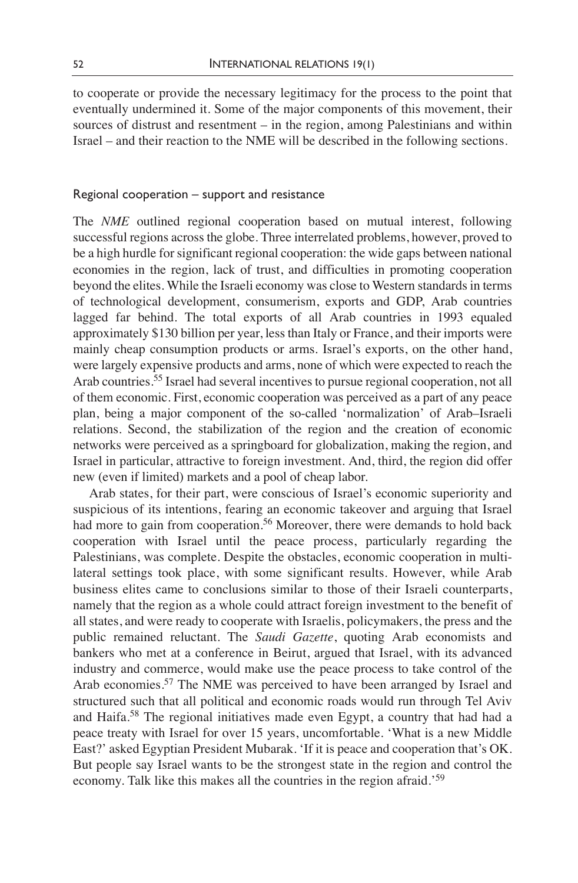to cooperate or provide the necessary legitimacy for the process to the point that eventually undermined it. Some of the major components of this movement, their sources of distrust and resentment – in the region, among Palestinians and within Israel – and their reaction to the NME will be described in the following sections.

## Regional cooperation – support and resistance

The *NME* outlined regional cooperation based on mutual interest, following successful regions across the globe. Three interrelated problems, however, proved to be a high hurdle for significant regional cooperation: the wide gaps between national economies in the region, lack of trust, and difficulties in promoting cooperation beyond the elites. While the Israeli economy was close to Western standards in terms of technological development, consumerism, exports and GDP, Arab countries lagged far behind. The total exports of all Arab countries in 1993 equaled approximately \$130 billion per year, less than Italy or France, and their imports were mainly cheap consumption products or arms. Israel's exports, on the other hand, were largely expensive products and arms, none of which were expected to reach the Arab countries.55 Israel had several incentives to pursue regional cooperation, not all of them economic. First, economic cooperation was perceived as a part of any peace plan, being a major component of the so-called 'normalization' of Arab–Israeli relations. Second, the stabilization of the region and the creation of economic networks were perceived as a springboard for globalization, making the region, and Israel in particular, attractive to foreign investment. And, third, the region did offer new (even if limited) markets and a pool of cheap labor.

Arab states, for their part, were conscious of Israel's economic superiority and suspicious of its intentions, fearing an economic takeover and arguing that Israel had more to gain from cooperation.<sup>56</sup> Moreover, there were demands to hold back cooperation with Israel until the peace process, particularly regarding the Palestinians, was complete. Despite the obstacles, economic cooperation in multilateral settings took place, with some significant results. However, while Arab business elites came to conclusions similar to those of their Israeli counterparts, namely that the region as a whole could attract foreign investment to the benefit of all states, and were ready to cooperate with Israelis, policymakers, the press and the public remained reluctant. The *Saudi Gazette*, quoting Arab economists and bankers who met at a conference in Beirut, argued that Israel, with its advanced industry and commerce, would make use the peace process to take control of the Arab economies.<sup>57</sup> The NME was perceived to have been arranged by Israel and structured such that all political and economic roads would run through Tel Aviv and Haifa.58 The regional initiatives made even Egypt, a country that had had a peace treaty with Israel for over 15 years, uncomfortable. 'What is a new Middle East?' asked Egyptian President Mubarak. 'If it is peace and cooperation that's OK. But people say Israel wants to be the strongest state in the region and control the economy. Talk like this makes all the countries in the region afraid.<sup>59</sup>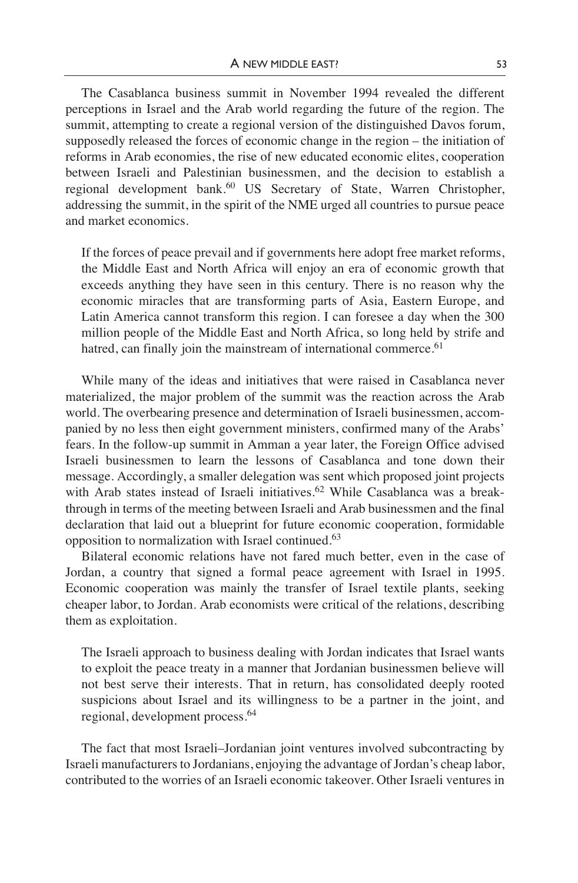The Casablanca business summit in November 1994 revealed the different perceptions in Israel and the Arab world regarding the future of the region. The summit, attempting to create a regional version of the distinguished Davos forum, supposedly released the forces of economic change in the region – the initiation of reforms in Arab economies, the rise of new educated economic elites, cooperation between Israeli and Palestinian businessmen, and the decision to establish a regional development bank.<sup>60</sup> US Secretary of State, Warren Christopher, addressing the summit, in the spirit of the NME urged all countries to pursue peace and market economics.

If the forces of peace prevail and if governments here adopt free market reforms, the Middle East and North Africa will enjoy an era of economic growth that exceeds anything they have seen in this century. There is no reason why the economic miracles that are transforming parts of Asia, Eastern Europe, and Latin America cannot transform this region. I can foresee a day when the 300 million people of the Middle East and North Africa, so long held by strife and hatred, can finally join the mainstream of international commerce.<sup>61</sup>

While many of the ideas and initiatives that were raised in Casablanca never materialized, the major problem of the summit was the reaction across the Arab world. The overbearing presence and determination of Israeli businessmen, accompanied by no less then eight government ministers, confirmed many of the Arabs' fears. In the follow-up summit in Amman a year later, the Foreign Office advised Israeli businessmen to learn the lessons of Casablanca and tone down their message. Accordingly, a smaller delegation was sent which proposed joint projects with Arab states instead of Israeli initiatives.<sup>62</sup> While Casablanca was a breakthrough in terms of the meeting between Israeli and Arab businessmen and the final declaration that laid out a blueprint for future economic cooperation, formidable opposition to normalization with Israel continued.63

Bilateral economic relations have not fared much better, even in the case of Jordan, a country that signed a formal peace agreement with Israel in 1995. Economic cooperation was mainly the transfer of Israel textile plants, seeking cheaper labor, to Jordan. Arab economists were critical of the relations, describing them as exploitation.

The Israeli approach to business dealing with Jordan indicates that Israel wants to exploit the peace treaty in a manner that Jordanian businessmen believe will not best serve their interests. That in return, has consolidated deeply rooted suspicions about Israel and its willingness to be a partner in the joint, and regional, development process.64

The fact that most Israeli–Jordanian joint ventures involved subcontracting by Israeli manufacturers to Jordanians, enjoying the advantage of Jordan's cheap labor, contributed to the worries of an Israeli economic takeover. Other Israeli ventures in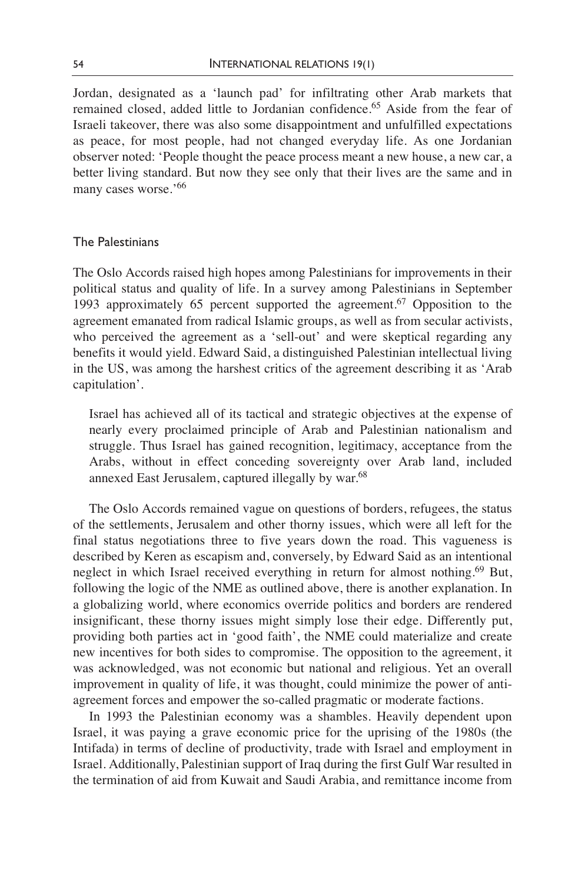Jordan, designated as a 'launch pad' for infiltrating other Arab markets that remained closed, added little to Jordanian confidence.65 Aside from the fear of Israeli takeover, there was also some disappointment and unfulfilled expectations as peace, for most people, had not changed everyday life. As one Jordanian observer noted: 'People thought the peace process meant a new house, a new car, a better living standard. But now they see only that their lives are the same and in many cases worse.'66

## The Palestinians

The Oslo Accords raised high hopes among Palestinians for improvements in their political status and quality of life. In a survey among Palestinians in September 1993 approximately 65 percent supported the agreement.<sup>67</sup> Opposition to the agreement emanated from radical Islamic groups, as well as from secular activists, who perceived the agreement as a 'sell-out' and were skeptical regarding any benefits it would yield. Edward Said, a distinguished Palestinian intellectual living in the US, was among the harshest critics of the agreement describing it as 'Arab capitulation'.

Israel has achieved all of its tactical and strategic objectives at the expense of nearly every proclaimed principle of Arab and Palestinian nationalism and struggle. Thus Israel has gained recognition, legitimacy, acceptance from the Arabs, without in effect conceding sovereignty over Arab land, included annexed East Jerusalem, captured illegally by war.68

The Oslo Accords remained vague on questions of borders, refugees, the status of the settlements, Jerusalem and other thorny issues, which were all left for the final status negotiations three to five years down the road. This vagueness is described by Keren as escapism and, conversely, by Edward Said as an intentional neglect in which Israel received everything in return for almost nothing.<sup>69</sup> But, following the logic of the NME as outlined above, there is another explanation. In a globalizing world, where economics override politics and borders are rendered insignificant, these thorny issues might simply lose their edge. Differently put, providing both parties act in 'good faith', the NME could materialize and create new incentives for both sides to compromise. The opposition to the agreement, it was acknowledged, was not economic but national and religious. Yet an overall improvement in quality of life, it was thought, could minimize the power of antiagreement forces and empower the so-called pragmatic or moderate factions.

In 1993 the Palestinian economy was a shambles. Heavily dependent upon Israel, it was paying a grave economic price for the uprising of the 1980s (the Intifada) in terms of decline of productivity, trade with Israel and employment in Israel. Additionally, Palestinian support of Iraq during the first Gulf War resulted in the termination of aid from Kuwait and Saudi Arabia, and remittance income from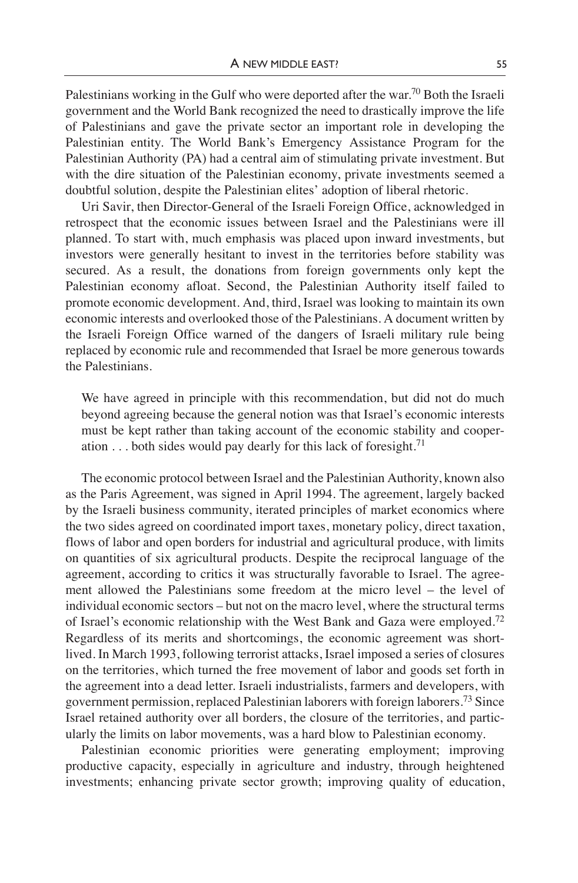Palestinians working in the Gulf who were deported after the war.<sup>70</sup> Both the Israeli government and the World Bank recognized the need to drastically improve the life of Palestinians and gave the private sector an important role in developing the Palestinian entity. The World Bank's Emergency Assistance Program for the Palestinian Authority (PA) had a central aim of stimulating private investment. But with the dire situation of the Palestinian economy, private investments seemed a doubtful solution, despite the Palestinian elites' adoption of liberal rhetoric.

Uri Savir, then Director-General of the Israeli Foreign Office, acknowledged in retrospect that the economic issues between Israel and the Palestinians were ill planned. To start with, much emphasis was placed upon inward investments, but investors were generally hesitant to invest in the territories before stability was secured. As a result, the donations from foreign governments only kept the Palestinian economy afloat. Second, the Palestinian Authority itself failed to promote economic development. And, third, Israel was looking to maintain its own economic interests and overlooked those of the Palestinians. A document written by the Israeli Foreign Office warned of the dangers of Israeli military rule being replaced by economic rule and recommended that Israel be more generous towards the Palestinians.

We have agreed in principle with this recommendation, but did not do much beyond agreeing because the general notion was that Israel's economic interests must be kept rather than taking account of the economic stability and cooperation  $\dots$  both sides would pay dearly for this lack of foresight.<sup>71</sup>

The economic protocol between Israel and the Palestinian Authority, known also as the Paris Agreement, was signed in April 1994. The agreement, largely backed by the Israeli business community, iterated principles of market economics where the two sides agreed on coordinated import taxes, monetary policy, direct taxation, flows of labor and open borders for industrial and agricultural produce, with limits on quantities of six agricultural products. Despite the reciprocal language of the agreement, according to critics it was structurally favorable to Israel. The agreement allowed the Palestinians some freedom at the micro level – the level of individual economic sectors – but not on the macro level, where the structural terms of Israel's economic relationship with the West Bank and Gaza were employed.72 Regardless of its merits and shortcomings, the economic agreement was shortlived. In March 1993, following terrorist attacks, Israel imposed a series of closures on the territories, which turned the free movement of labor and goods set forth in the agreement into a dead letter. Israeli industrialists, farmers and developers, with government permission, replaced Palestinian laborers with foreign laborers.73 Since Israel retained authority over all borders, the closure of the territories, and particularly the limits on labor movements, was a hard blow to Palestinian economy.

Palestinian economic priorities were generating employment; improving productive capacity, especially in agriculture and industry, through heightened investments; enhancing private sector growth; improving quality of education,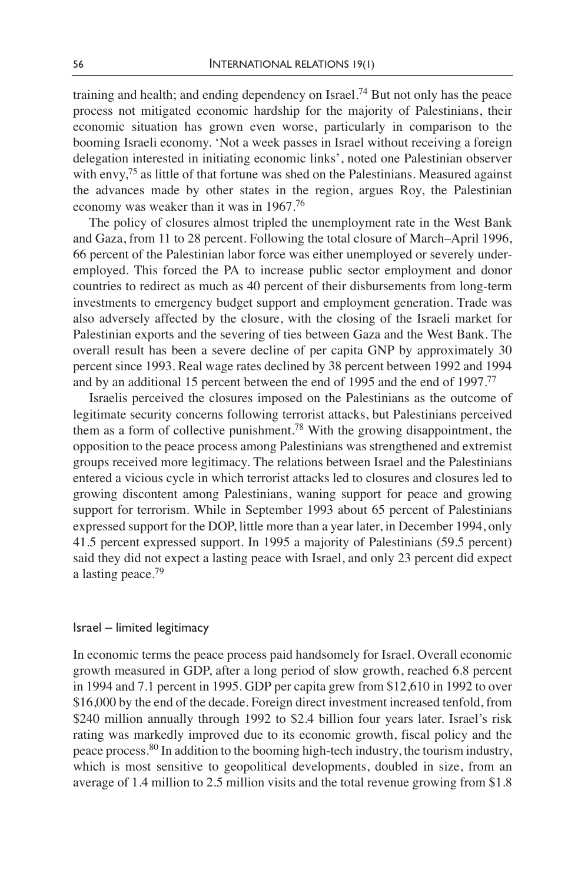training and health; and ending dependency on Israel.<sup>74</sup> But not only has the peace process not mitigated economic hardship for the majority of Palestinians, their economic situation has grown even worse, particularly in comparison to the booming Israeli economy. 'Not a week passes in Israel without receiving a foreign delegation interested in initiating economic links', noted one Palestinian observer with envy,<sup>75</sup> as little of that fortune was shed on the Palestinians. Measured against the advances made by other states in the region, argues Roy, the Palestinian economy was weaker than it was in 1967.<sup>76</sup>

The policy of closures almost tripled the unemployment rate in the West Bank and Gaza, from 11 to 28 percent. Following the total closure of March–April 1996, 66 percent of the Palestinian labor force was either unemployed or severely underemployed. This forced the PA to increase public sector employment and donor countries to redirect as much as 40 percent of their disbursements from long-term investments to emergency budget support and employment generation. Trade was also adversely affected by the closure, with the closing of the Israeli market for Palestinian exports and the severing of ties between Gaza and the West Bank. The overall result has been a severe decline of per capita GNP by approximately 30 percent since 1993. Real wage rates declined by 38 percent between 1992 and 1994 and by an additional 15 percent between the end of 1995 and the end of 1997.<sup>77</sup>

Israelis perceived the closures imposed on the Palestinians as the outcome of legitimate security concerns following terrorist attacks, but Palestinians perceived them as a form of collective punishment.78 With the growing disappointment, the opposition to the peace process among Palestinians was strengthened and extremist groups received more legitimacy. The relations between Israel and the Palestinians entered a vicious cycle in which terrorist attacks led to closures and closures led to growing discontent among Palestinians, waning support for peace and growing support for terrorism. While in September 1993 about 65 percent of Palestinians expressed support for the DOP, little more than a year later, in December 1994, only 41.5 percent expressed support. In 1995 a majority of Palestinians (59.5 percent) said they did not expect a lasting peace with Israel, and only 23 percent did expect a lasting peace.79

#### Israel – limited legitimacy

In economic terms the peace process paid handsomely for Israel. Overall economic growth measured in GDP, after a long period of slow growth, reached 6.8 percent in 1994 and 7.1 percent in 1995. GDP per capita grew from \$12,610 in 1992 to over \$16,000 by the end of the decade. Foreign direct investment increased tenfold, from \$240 million annually through 1992 to \$2.4 billion four years later. Israel's risk rating was markedly improved due to its economic growth, fiscal policy and the peace process.80 In addition to the booming high-tech industry, the tourism industry, which is most sensitive to geopolitical developments, doubled in size, from an average of 1.4 million to 2.5 million visits and the total revenue growing from \$1.8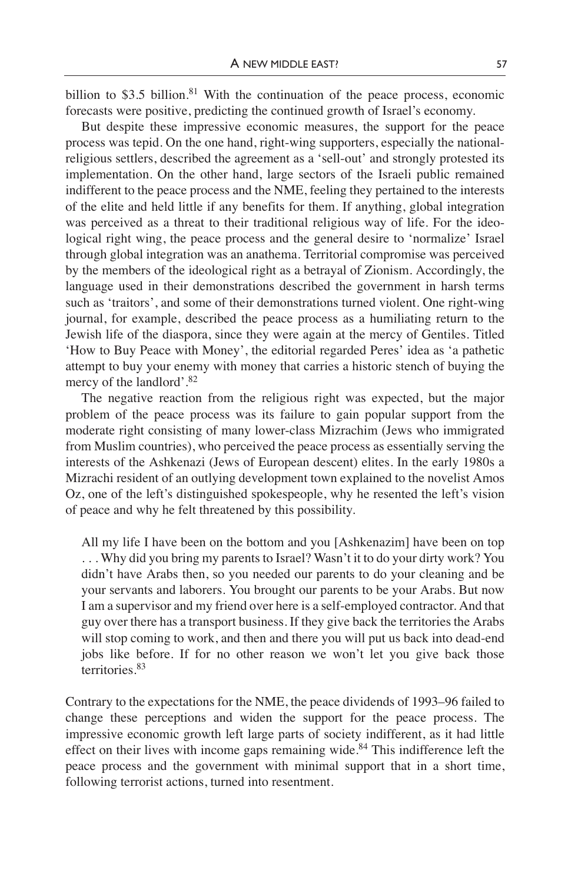billion to \$3.5 billion.<sup>81</sup> With the continuation of the peace process, economic forecasts were positive, predicting the continued growth of Israel's economy.

But despite these impressive economic measures, the support for the peace process was tepid. On the one hand, right-wing supporters, especially the nationalreligious settlers, described the agreement as a 'sell-out' and strongly protested its implementation. On the other hand, large sectors of the Israeli public remained indifferent to the peace process and the NME, feeling they pertained to the interests of the elite and held little if any benefits for them. If anything, global integration was perceived as a threat to their traditional religious way of life. For the ideological right wing, the peace process and the general desire to 'normalize' Israel through global integration was an anathema. Territorial compromise was perceived by the members of the ideological right as a betrayal of Zionism. Accordingly, the language used in their demonstrations described the government in harsh terms such as 'traitors', and some of their demonstrations turned violent. One right-wing journal, for example, described the peace process as a humiliating return to the Jewish life of the diaspora, since they were again at the mercy of Gentiles. Titled 'How to Buy Peace with Money', the editorial regarded Peres' idea as 'a pathetic attempt to buy your enemy with money that carries a historic stench of buying the mercy of the landlord'.82

The negative reaction from the religious right was expected, but the major problem of the peace process was its failure to gain popular support from the moderate right consisting of many lower-class Mizrachim (Jews who immigrated from Muslim countries), who perceived the peace process as essentially serving the interests of the Ashkenazi (Jews of European descent) elites. In the early 1980s a Mizrachi resident of an outlying development town explained to the novelist Amos Oz, one of the left's distinguished spokespeople, why he resented the left's vision of peace and why he felt threatened by this possibility.

All my life I have been on the bottom and you [Ashkenazim] have been on top ... Why did you bring my parents to Israel? Wasn't it to do your dirty work? You didn't have Arabs then, so you needed our parents to do your cleaning and be your servants and laborers. You brought our parents to be your Arabs. But now I am a supervisor and my friend over here is a self-employed contractor. And that guy over there has a transport business. If they give back the territories the Arabs will stop coming to work, and then and there you will put us back into dead-end jobs like before. If for no other reason we won't let you give back those territories.83

Contrary to the expectations for the NME, the peace dividends of 1993–96 failed to change these perceptions and widen the support for the peace process. The impressive economic growth left large parts of society indifferent, as it had little effect on their lives with income gaps remaining wide.<sup>84</sup> This indifference left the peace process and the government with minimal support that in a short time, following terrorist actions, turned into resentment.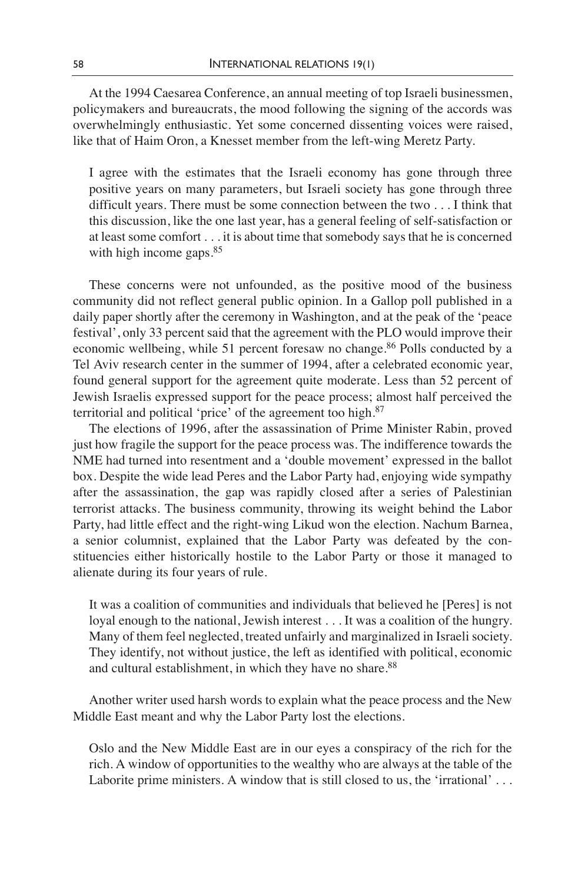At the 1994 Caesarea Conference, an annual meeting of top Israeli businessmen, policymakers and bureaucrats, the mood following the signing of the accords was overwhelmingly enthusiastic. Yet some concerned dissenting voices were raised, like that of Haim Oron, a Knesset member from the left-wing Meretz Party.

I agree with the estimates that the Israeli economy has gone through three positive years on many parameters, but Israeli society has gone through three difficult years. There must be some connection between the two . . . I think that this discussion, like the one last year, has a general feeling of self-satisfaction or at least some comfort . . . it is about time that somebody says that he is concerned with high income gaps.<sup>85</sup>

These concerns were not unfounded, as the positive mood of the business community did not reflect general public opinion. In a Gallop poll published in a daily paper shortly after the ceremony in Washington, and at the peak of the 'peace festival', only 33 percent said that the agreement with the PLO would improve their economic wellbeing, while 51 percent foresaw no change.<sup>86</sup> Polls conducted by a Tel Aviv research center in the summer of 1994, after a celebrated economic year, found general support for the agreement quite moderate. Less than 52 percent of Jewish Israelis expressed support for the peace process; almost half perceived the territorial and political 'price' of the agreement too high.<sup>87</sup>

The elections of 1996, after the assassination of Prime Minister Rabin, proved just how fragile the support for the peace process was. The indifference towards the NME had turned into resentment and a 'double movement' expressed in the ballot box. Despite the wide lead Peres and the Labor Party had, enjoying wide sympathy after the assassination, the gap was rapidly closed after a series of Palestinian terrorist attacks. The business community, throwing its weight behind the Labor Party, had little effect and the right-wing Likud won the election. Nachum Barnea, a senior columnist, explained that the Labor Party was defeated by the constituencies either historically hostile to the Labor Party or those it managed to alienate during its four years of rule.

It was a coalition of communities and individuals that believed he [Peres] is not loyal enough to the national, Jewish interest . . . It was a coalition of the hungry. Many of them feel neglected, treated unfairly and marginalized in Israeli society. They identify, not without justice, the left as identified with political, economic and cultural establishment, in which they have no share.<sup>88</sup>

Another writer used harsh words to explain what the peace process and the New Middle East meant and why the Labor Party lost the elections.

Oslo and the New Middle East are in our eyes a conspiracy of the rich for the rich. A window of opportunities to the wealthy who are always at the table of the Laborite prime ministers. A window that is still closed to us, the 'irrational' ...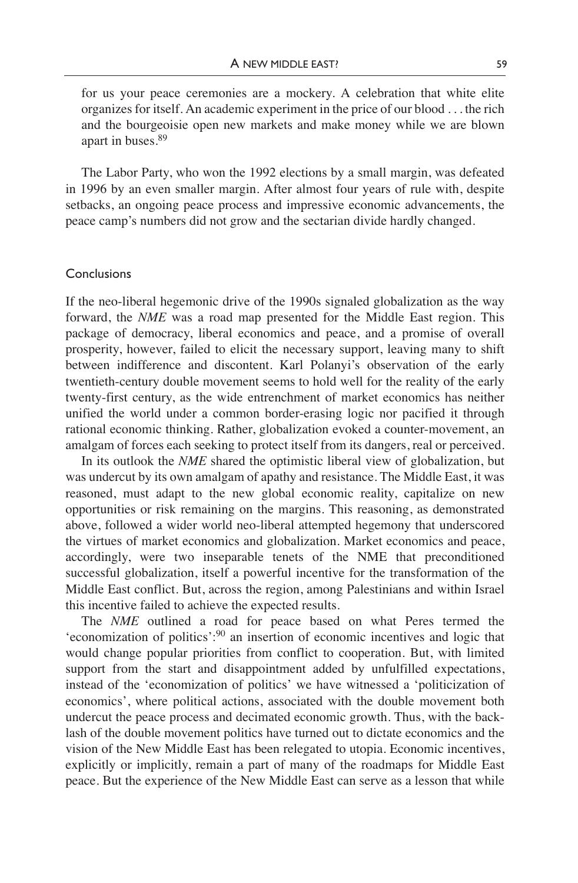for us your peace ceremonies are a mockery. A celebration that white elite organizes for itself. An academic experiment in the price of our blood . . . the rich and the bourgeoisie open new markets and make money while we are blown apart in buses.<sup>89</sup>

The Labor Party, who won the 1992 elections by a small margin, was defeated in 1996 by an even smaller margin. After almost four years of rule with, despite setbacks, an ongoing peace process and impressive economic advancements, the peace camp's numbers did not grow and the sectarian divide hardly changed.

## **Conclusions**

If the neo-liberal hegemonic drive of the 1990s signaled globalization as the way forward, the *NME* was a road map presented for the Middle East region. This package of democracy, liberal economics and peace, and a promise of overall prosperity, however, failed to elicit the necessary support, leaving many to shift between indifference and discontent. Karl Polanyi's observation of the early twentieth-century double movement seems to hold well for the reality of the early twenty-first century, as the wide entrenchment of market economics has neither unified the world under a common border-erasing logic nor pacified it through rational economic thinking. Rather, globalization evoked a counter-movement, an amalgam of forces each seeking to protect itself from its dangers, real or perceived.

In its outlook the *NME* shared the optimistic liberal view of globalization, but was undercut by its own amalgam of apathy and resistance. The Middle East, it was reasoned, must adapt to the new global economic reality, capitalize on new opportunities or risk remaining on the margins. This reasoning, as demonstrated above, followed a wider world neo-liberal attempted hegemony that underscored the virtues of market economics and globalization. Market economics and peace, accordingly, were two inseparable tenets of the NME that preconditioned successful globalization, itself a powerful incentive for the transformation of the Middle East conflict. But, across the region, among Palestinians and within Israel this incentive failed to achieve the expected results.

The *NME* outlined a road for peace based on what Peres termed the 'economization of politics':90 an insertion of economic incentives and logic that would change popular priorities from conflict to cooperation. But, with limited support from the start and disappointment added by unfulfilled expectations, instead of the 'economization of politics' we have witnessed a 'politicization of economics', where political actions, associated with the double movement both undercut the peace process and decimated economic growth. Thus, with the backlash of the double movement politics have turned out to dictate economics and the vision of the New Middle East has been relegated to utopia. Economic incentives, explicitly or implicitly, remain a part of many of the roadmaps for Middle East peace. But the experience of the New Middle East can serve as a lesson that while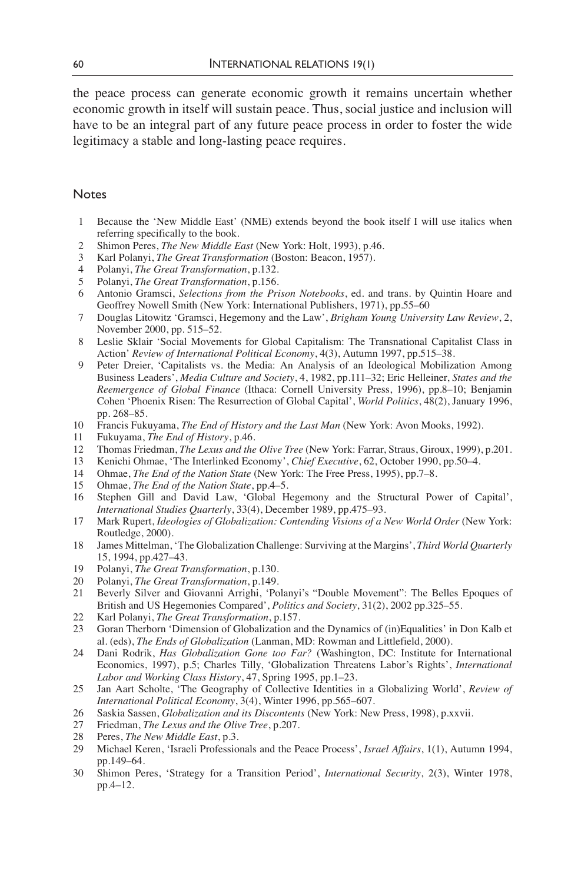the peace process can generate economic growth it remains uncertain whether economic growth in itself will sustain peace. Thus, social justice and inclusion will have to be an integral part of any future peace process in order to foster the wide legitimacy a stable and long-lasting peace requires.

#### **Notes**

- 1 Because the 'New Middle East' (NME) extends beyond the book itself I will use italics when referring specifically to the book.
- 2 Shimon Peres, *The New Middle East* (New York: Holt, 1993), p.46.
- 3 Karl Polanyi, *The Great Transformation* (Boston: Beacon, 1957).
- 4 Polanyi, *The Great Transformation*, p.132.
- 5 Polanyi, *The Great Transformation*, p.156.
- 6 Antonio Gramsci, *Selections from the Prison Notebooks*, ed. and trans. by Quintin Hoare and Geoffrey Nowell Smith (New York: International Publishers, 1971), pp.55–60
- 7 Douglas Litowitz 'Gramsci, Hegemony and the Law', *Brigham Young University Law Review*, 2, November 2000, pp. 515–52.
- 8 Leslie Sklair 'Social Movements for Global Capitalism: The Transnational Capitalist Class in Action' *Review of International Political Economy*, 4(3), Autumn 1997, pp.515–38.
- Peter Dreier, 'Capitalists vs. the Media: An Analysis of an Ideological Mobilization Among Business Leaders', *Media Culture and Society*, 4, 1982, pp.111–32; Eric Helleiner, *States and the Reemergence of Global Finance* (Ithaca: Cornell University Press, 1996), pp.8–10; Benjamin Cohen 'Phoenix Risen: The Resurrection of Global Capital', *World Politics*, 48(2), January 1996, pp. 268–85.
- 10 Francis Fukuyama, *The End of History and the Last Man* (New York: Avon Mooks, 1992).
- 11 Fukuyama, *The End of History*, p.46.
- 12 Thomas Friedman, *The Lexus and the Olive Tree* (New York: Farrar, Straus, Giroux, 1999), p.201.
- 13 Kenichi Ohmae, 'The Interlinked Economy', *Chief Executive*, 62, October 1990, pp.50–4.
- 14 Ohmae, *The End of the Nation State* (New York: The Free Press, 1995), pp.7–8.
- 15 Ohmae, *The End of the Nation State*, pp.4–5.
- 16 Stephen Gill and David Law, 'Global Hegemony and the Structural Power of Capital', *International Studies Quarterly*, 33(4), December 1989, pp.475–93.
- 17 Mark Rupert, *Ideologies of Globalization: Contending Visions of a New World Order* (New York: Routledge, 2000).
- 18 James Mittelman, 'The Globalization Challenge: Surviving at the Margins', *Third World Quarterly* 15, 1994, pp.427–43.
- 19 Polanyi, *The Great Transformation*, p.130.
- 20 Polanyi, *The Great Transformation*, p.149.
- 21 Beverly Silver and Giovanni Arrighi, 'Polanyi's "Double Movement": The Belles Epoques of British and US Hegemonies Compared', *Politics and Society*, 31(2), 2002 pp.325–55.
- 22 Karl Polanyi, *The Great Transformation*, p.157.
- 23 Goran Therborn 'Dimension of Globalization and the Dynamics of (in)Equalities' in Don Kalb et al. (eds), *The Ends of Globalization* (Lanman, MD: Rowman and Littlefield, 2000).
- 24 Dani Rodrik, *Has Globalization Gone too Far?* (Washington, DC: Institute for International Economics, 1997), p.5; Charles Tilly, 'Globalization Threatens Labor's Rights', *International Labor and Working Class History*, 47, Spring 1995, pp.1–23.
- 25 Jan Aart Scholte, 'The Geography of Collective Identities in a Globalizing World', *Review of International Political Economy*, 3(4), Winter 1996, pp.565–607.
- 26 Saskia Sassen, *Globalization and its Discontents* (New York: New Press, 1998), p.xxvii.
- 27 Friedman, *The Lexus and the Olive Tree*, p.207.
- 28 Peres, *The New Middle East*, p.3.
- 29 Michael Keren, 'Israeli Professionals and the Peace Process', *Israel Affairs*, 1(1), Autumn 1994, pp.149–64.
- 30 Shimon Peres, 'Strategy for a Transition Period', *International Security*, 2(3), Winter 1978, pp.4–12.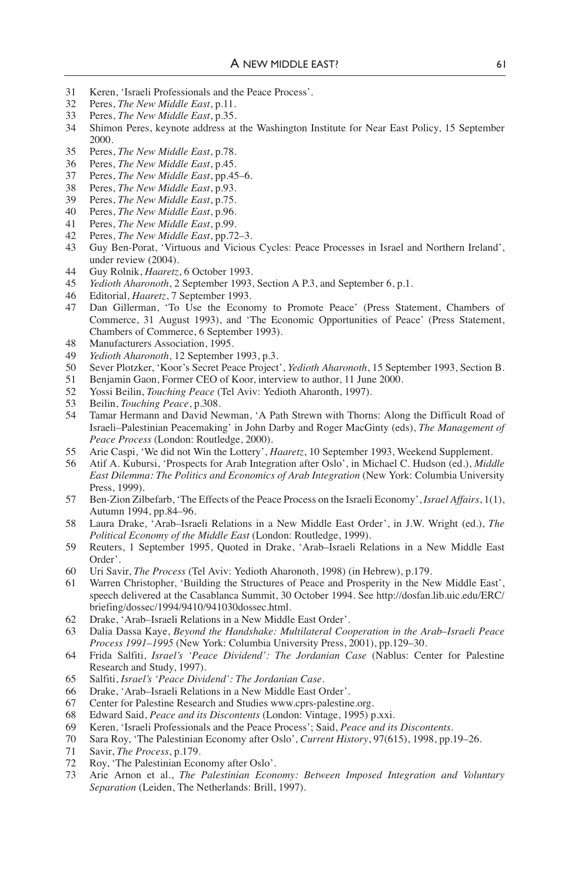- 31 Keren, 'Israeli Professionals and the Peace Process'.
- 32 Peres, *The New Middle East*, p.11.
- 33 Peres, *The New Middle East*, p.35.
- 34 Shimon Peres, keynote address at the Washington Institute for Near East Policy, 15 September 2000.
- 35 Peres, *The New Middle East*, p.78.
- 36 Peres, *The New Middle East*, p.45.
- 37 Peres, *The New Middle East*, pp.45–6.
- 38 Peres, *The New Middle East*, p.93.
- 39 Peres, *The New Middle East*, p.75.
- 40 Peres, *The New Middle East*, p.96.
- 41 Peres, *The New Middle East*, p.99.
- 42 Peres, *The New Middle East*, pp.72–3.
- 43 Guy Ben-Porat, 'Virtuous and Vicious Cycles: Peace Processes in Israel and Northern Ireland', under review (2004).
- 44 Guy Rolnik, *Haaretz*, 6 October 1993.
- 45 *Yedioth Aharonoth*, 2 September 1993, Section A P.3, and September 6, p.1.
- 46 Editorial, *Haaretz*, 7 September 1993.
- 47 Dan Gillerman, 'To Use the Economy to Promote Peace' (Press Statement, Chambers of Commerce, 31 August 1993), and 'The Economic Opportunities of Peace' (Press Statement, Chambers of Commerce, 6 September 1993).
- 48 Manufacturers Association, 1995.
- 49 *Yedioth Aharonoth*, 12 September 1993, p.3.
- 50 Sever Plotzker, 'Koor's Secret Peace Project', *Yedioth Aharonoth*, 15 September 1993, Section B.
- 51 Benjamin Gaon, Former CEO of Koor, interview to author, 11 June 2000.
- 52 Yossi Beilin, *Touching Peace* (Tel Aviv: Yedioth Aharonth, 1997).
- 53 Beilin, *Touching Peace*, p.308.
- 54 Tamar Hermann and David Newman, 'A Path Strewn with Thorns: Along the Difficult Road of Israeli–Palestinian Peacemaking' in John Darby and Roger MacGinty (eds), *The Management of Peace Process* (London: Routledge, 2000).
- 55 Arie Caspi, 'We did not Win the Lottery', *Haaretz*, 10 September 1993, Weekend Supplement.
- 56 Atif A. Kubursi, 'Prospects for Arab Integration after Oslo', in Michael C. Hudson (ed.), *Middle East Dilemma: The Politics and Economics of Arab Integration* (New York: Columbia University Press, 1999).
- 57 Ben-Zion Zilbefarb, 'The Effects of the Peace Process on the Israeli Economy', *Israel Affairs*, 1(1), Autumn 1994, pp.84–96.
- 58 Laura Drake, 'Arab–Israeli Relations in a New Middle East Order', in J.W. Wright (ed.), *The Political Economy of the Middle East* (London: Routledge, 1999).
- 59 Reuters, 1 September 1995, Quoted in Drake, 'Arab–Israeli Relations in a New Middle East Order'.
- 60 Uri Savir, *The Process* (Tel Aviv: Yedioth Aharonoth, 1998) (in Hebrew), p.179.
- 61 Warren Christopher, 'Building the Structures of Peace and Prosperity in the New Middle East', speech delivered at the Casablanca Summit, 30 October 1994. See http://dosfan.lib.uic.edu/ERC/ briefing/dossec/1994/9410/941030dossec.html.
- 62 Drake, 'Arab–Israeli Relations in a New Middle East Order'.
- 63 Dalia Dassa Kaye, *Beyond the Handshake: Multilateral Cooperation in the Arab–Israeli Peace Process 1991–1995* (New York: Columbia University Press, 2001), pp.129–30.
- 64 Frida Salfiti, *Israel's 'Peace Dividend': The Jordanian Case* (Nablus: Center for Palestine Research and Study, 1997).
- 65 Salfiti, *Israel's 'Peace Dividend': The Jordanian Case*.
- 66 Drake, 'Arab–Israeli Relations in a New Middle East Order'.
- 67 Center for Palestine Research and Studies www.cprs-palestine.org.
- 68 Edward Said, *Peace and its Discontents* (London: Vintage, 1995) p.xxi.
- 69 Keren, 'Israeli Professionals and the Peace Process'; Said, *Peace and its Discontents*.
- 70 Sara Roy, 'The Palestinian Economy after Oslo', *Current History*, 97(615), 1998, pp.19–26.
- 71 Savir, *The Process*, p.179.
- 72 Roy, 'The Palestinian Economy after Oslo'.<br>73 Arie Arnon et al., The Palestinian Econ
- 73 Arie Arnon et al., *The Palestinian Economy: Between Imposed Integration and Voluntary Separation* (Leiden, The Netherlands: Brill, 1997).